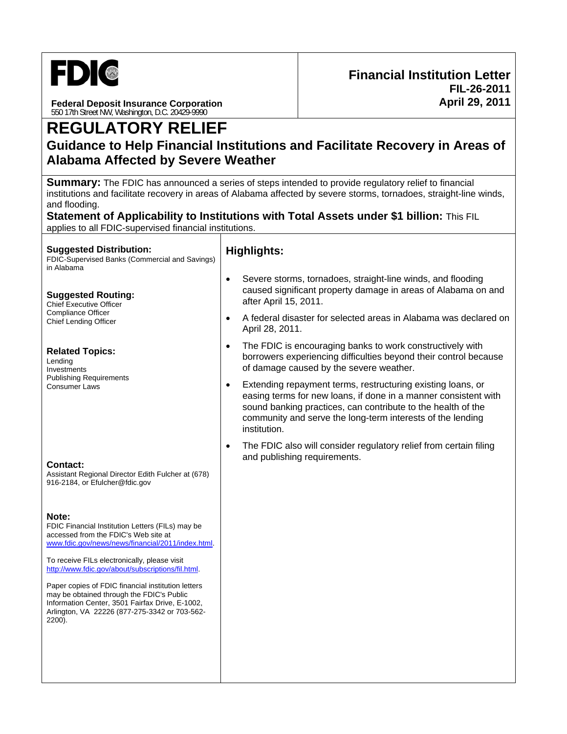

**Federal Deposit Insurance Corporation**  550 17th Street NW, Washington, D.C. 20429-9990

# **REGULATORY RELIEF**

# **Guidance to Help Financial Institutions and Facilitate Recovery in Areas of Alabama Affected by Severe Weather**

**Summary:** The FDIC has announced a series of steps intended to provide regulatory relief to financial institutions and facilitate recovery in areas of Alabama affected by severe storms, tornadoes, straight-line winds, and flooding.

**Statement of Applicability to Institutions with Total Assets under \$1 billion:** This FIL applies to all FDIC-supervised financial institutions.

#### **Suggested Distribution:**

FDIC-Supervised Banks (Commercial and Savings) in Alabama

#### **Suggested Routing:**

Chief Executive Officer Compliance Officer Chief Lending Officer

#### **Related Topics:**

Lending Investments Publishing Requirements Consumer Laws

#### **Contact:**

Assistant Regional Director Edith Fulcher at (678) 916-2184, or Efulcher@fdic.gov

#### **Note:**

FDIC Financial Institution Letters (FILs) may be accessed from the FDIC's Web site at www.fdic.gov/news/news/financial/2011/index.html.

To receive FILs electronically, please visit http://www.fdic.gov/about/subscriptions/fil.html.

Paper copies of FDIC financial institution letters may be obtained through the FDIC's Public Information Center, 3501 Fairfax Drive, E-1002, Arlington, VA 22226 (877-275-3342 or 703-562- 2200).

### **Highlights:**

- Severe storms, tornadoes, straight-line winds, and flooding caused significant property damage in areas of Alabama on and after April 15, 2011.
- A federal disaster for selected areas in Alabama was declared on April 28, 2011.
- The FDIC is encouraging banks to work constructively with borrowers experiencing difficulties beyond their control because of damage caused by the severe weather.
- Extending repayment terms, restructuring existing loans, or easing terms for new loans, if done in a manner consistent with sound banking practices, can contribute to the health of the community and serve the long-term interests of the lending institution.
- The FDIC also will consider regulatory relief from certain filing and publishing requirements.